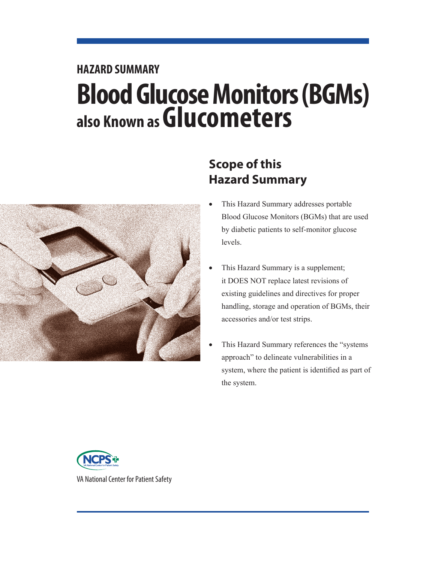# **HAZARD SUMMARY Blood Glucose Monitors (BGMs) also Known as Glucometers**



# **Scope of this Hazard Summary**

- This Hazard Summary addresses portable Blood Glucose Monitors (BGMs) that are used by diabetic patients to self-monitor glucose levels.
- This Hazard Summary is a supplement; it DOES NOT replace latest revisions of existing guidelines and directives for proper handling, storage and operation of BGMs, their accessories and/or test strips.
- This Hazard Summary references the "systems" approach" to delineate vulnerabilities in a system, where the patient is identified as part of the system.



VA National Center for Patient Safety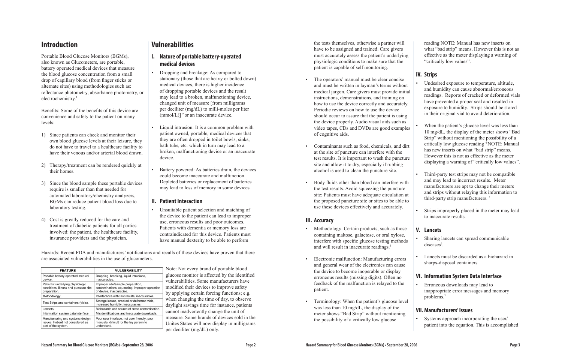Portable Blood Glucose Monitors (BGMs), also known as Glucometers, are portable, battery operated medical devices that measure the blood glucose concentration from a small drop of capillary blood (from finger sticks or alternate sites) using methodologies such as: reflectance photometry, absorbance photometry, or electrochemistry.<sup>1</sup>

## **Introduction**

Benefits: Some of the benefits of this device are convenience and safety to the patient on many levels:

- 1) Since patients can check and monitor their own blood glucose levels at their leisure, they do not have to travel to a healthcare facility to have their venous and/or arterial blood drawn.
- 2) Therapy/treatment can be rendered quickly at their homes.
- 3) Since the blood sample these portable devices require is smaller than that needed for automated laboratory/chemistry analyzers, BGMs can reduce patient blood loss due to laboratory testing.
- 4) Cost is greatly reduced for the care and treatment of diabetic patients for all parties involved: the patient, the healthcare facility, insurance providers and the physician.

# **Vulnerabilities**

Hazards: Recent FDA and manufacturers' notifications and recalls of these devices have proven that there are associated vulnerabilities in the use of glucometers.

| <b>FEATURE</b>                                                                               | <b>VULNERABILITY</b>                                                                                           |
|----------------------------------------------------------------------------------------------|----------------------------------------------------------------------------------------------------------------|
| Portable battery operated medical<br>device.                                                 | Dropping, breaking, liquid intrusions,<br>inaccuracies.                                                        |
| Patients' underlying physiologic<br>conditions, illness and puncture site<br>preparation.    | Improper site/sample preparation,<br>contaminations, squeezing, improper operation<br>of device, inaccuracies. |
| Methodology.                                                                                 | Interference with test results, inaccuracies.                                                                  |
| Test Strips and containers (vials).                                                          | Storage issues, cracked or deformed vials,<br>increased humidity, inaccuracies.                                |
| Lancets.                                                                                     | Biohazards and source of cross contamination.                                                                  |
| Information system data interface.                                                           | Misidentifications and inaccurate downloads.                                                                   |
| Manufacturing and systems design<br>issues. Patient not considered as<br>part of the system. | Poor user interface, not user friendly, poor<br>manuals, difficult for the lay person to<br>understand.        |

Note: Not every brand of portable blood glucose monitor is affected by the identified vulnerabilities. Some manufacturers have modified their devices to improve safety by applying certain forcing functions; e.g. when changing the time of day, to observe daylight savings time for instance, patients cannot inadvertently change the unit of measure. Some brands of devices sold in the Unites States will now display in milligrams per deciliter (mg/dL) only.

## **I. Nature of portable battery-operated medical devices**

- Dropping and breakage: As compared to stationary (those that are heavy or bolted down) medical devices, there is higher incidence of dropping portable devices and the result may lead to a broken, malfunctioning device, changed unit of measure [from milligrams per deciliter (mg/dL) to milli-moles per liter  $(mmol/L)$ ] <sup>2</sup> or an inaccurate device.
- Liquid intrusion: It is a common problem with patient owned, portable, medical devices that they are often dropped in toilet bowls, sinks, bath tubs, etc. which in turn may lead to a broken, malfunctioning device or an inaccurate device.
- Battery powered: As batteries drain, the devices could become inaccurate and malfunction. Depleted batteries or replacement of batteries may lead to loss of memory in some devices.

- Methodology: Certain products, such as those containing maltose, galactose, or oral xylose, interfere with specific glucose testing methods and will result in inaccurate readings.3
- Electronic malfunction: Manufacturing errors and general wear of the electronics can cause the device to become inoperable or display erroneous results (missing digits). Often no feedback of the malfunction is relayed to the patient.
- Terminology: When the patient's glucose level was less than 10 mg/dL, the display of the meter shows "Bad Strip" without mentioning the possibility of a critically low glucose

#### **II. Patient Interaction**

• Unsuitable patient selection and matching of the device to the patient can lead to improper use, erroneous results and poor outcomes. Patients with dementia or memory loss are contraindicated for this device. Patients must have manual dexterity to be able to perform

the tests themselves, otherwise a partner will have to be assigned and trained. Care givers must accurately assess the patient's underlying physiologic conditions to make sure that the patient is capable of self monitoring.

- The operators' manual must be clear concise and must be written in layman's terms without medical jargon. Care givers must provide initial instructions, demonstrations, and training on how to use the device correctly and accurately. Periodic reviews on how to use the device should occur to assure that the patient is using the device properly. Audio visual aids such as video tapes, CDs and DVDs are good examples of cognitive aids. Undesired exposure to temperature, altitude, and humidity can cause abnormal/erroneous readings. Reports of cracked or deformed vials have prevented a proper seal and resulted in exposure to humidity. Strips should be stored in their original vial to avoid deterioration. When the patient's glucose level was less than 10 mg/dL, the display of the meter shows "Bad
- Contaminants such as food, chemicals, and dirt at the site of puncture can interfere with the test results. It is important to wash the puncture site and allow it to dry, especially if rubbing alcohol is used to clean the puncture site.
- Body fluids other than blood can interfere with the test results. Avoid squeezing the puncture site: Patients must have adequate circulation at the proposed puncture site or sites to be able to use these devices effectively and accurately.

#### **III. Accuracy**

reading NOTE: Manual has new inserts on what "bad strip" means. However this is not as effective as the meter displaying a warning of "critically low values".

## **IV. Strips**

- Strip" without mentioning the possibility of a critically low glucose reading 4 NOTE: Manual has new inserts on what "bad strip" means. However this is not as effective as the meter displaying a warning of "critically low values".
- Third-party test strips may not be compatible and may lead to incorrect results. Meter manufacturers are apt to change their meters and strips without relaying this information to third-party strip manufacturers. 5
- Strips improperly placed in the meter may lead to inaccurate results.

#### **V. Lancets**

- Sharing lancets can spread communicable diseases<sup>6</sup>.
- Lancets must be discarded as a biohazard in sharps-disposal containers.

## **VI. Information System Data Interface**

• Erroneous downloads may lead to inappropriate error messages and memory problems.7

## **VII. Manufacturers' Issues**

• Systems approach incorporating the user/ patient into the equation. This is accomplished